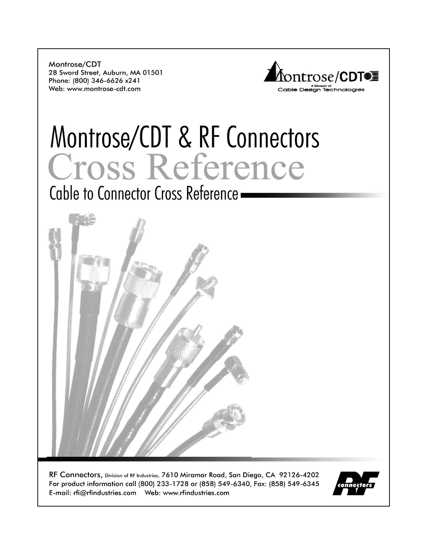Montrose/CDT 28 Sword Street, Auburn, MA 01501 Phone: (800) 346-6626 x241 Web: www.montrose-cdt.com



# Montrose/CDT & RF Connectors Cross Reference

Cable to Connector Cross Reference -



RF Connectors, Division of RF Industries, 7610 Miramar Road, San Diego, CA 92126-4202 For product information call (800) 233-1728 or (858) 549-6340, Fax: (858) 549-6345 

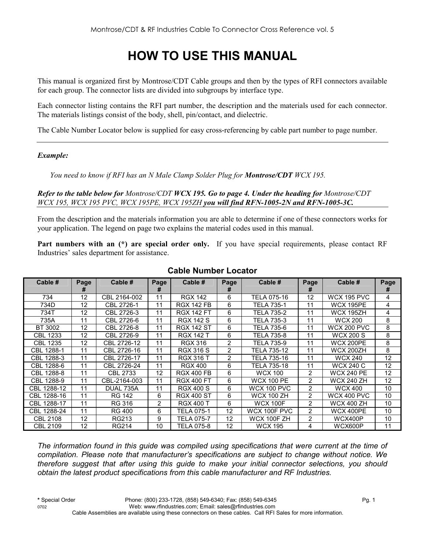# **HOW TO USE THIS MANUAL**

This manual is organized first by Montrose/CDT Cable groups and then by the types of RFI connectors available for each group. The connector lists are divided into subgroups by interface type.

Each connector listing contains the RFI part number, the description and the materials used for each connector. The materials listings consist of the body, shell, pin/contact, and dielectric.

The Cable Number Locator below is supplied for easy cross-referencing by cable part number to page number.

#### *Example:*

*You need to know if RFI has an N Male Clamp Solder Plug for Montrose/CDT WCX 195.* 

*Refer to the table below for Montrose/CDT WCX 195. Go to page 4. Under the heading for Montrose/CDT WCX 195, WCX 195 PVC, WCX 195PE, WCX 195ZH you will find RFN-1005-2N and RFN-1005-3C.*

From the description and the materials information you are able to determine if one of these connectors works for your application. The legend on page two explains the material codes used in this manual.

Part numbers with an (\*) are special order only. If you have special requirements, please contact RF Industries' sales department for assistance.

| Cable #         | Page | Cable #       | Page           | Cable #           | Page           | Cable #            | Page           | Cable #<br>Page    |    |
|-----------------|------|---------------|----------------|-------------------|----------------|--------------------|----------------|--------------------|----|
|                 | #    |               | #              |                   |                |                    | #              |                    | #  |
| 734             | 12   | CBL 2164-002  | 11             | <b>RGX 142</b>    | 6              | TELA 075-16        | 12             | <b>WCX 195 PVC</b> | 4  |
| 734D            | 12   | CBL 2726-1    | 11             | <b>RGX 142 FB</b> | 6              | TELA 735-1         | 11             | <b>WCX 195PE</b>   | 4  |
| 734T            | 12   | CBL 2726-3    | 11             | <b>RGX 142 FT</b> | 6              | TELA 735-2         | 11             | <b>WCX 195ZH</b>   | 4  |
| 735A            | 11   | CBL 2726-6    | 11             | <b>RGX 142 S</b>  | 6              | TELA 735-3         | 11             | <b>WCX 200</b>     | 8  |
| BT 3002         | 12   | CBL 2726-8    | 11             | <b>RGX 142 ST</b> | 6              | TELA 735-6         | 11             | <b>WCX 200 PVC</b> | 8  |
| CBL 1233        | 12   | CBL 2726-9    | 11             | <b>RGX 142 T</b>  | 6              | TELA 735-8         | 11             | WCX 200 S          | 8  |
| <b>CBL 1235</b> | 12   | CBL 2726-12   | 11             | <b>RGX 316</b>    | $\overline{2}$ | TELA 735-9         | 11             | <b>WCX 200PE</b>   | 8  |
| CBL 1288-1      | 11   | CBL 2726-16   | 11             | <b>RGX 316 S</b>  | $\overline{2}$ | TELA 735-12        | 11             | <b>WCX 200ZH</b>   | 8  |
| CBL 1288-3      | 11   | CBL 2726-17   | 11             | <b>RGX 316 T</b>  | $\overline{2}$ | TELA 735-16        | 11             | <b>WCX 240</b>     | 12 |
| CBL 1288-6      | 11   | CBL 2726-24   | 11             | <b>RGX 400</b>    | 6              | TELA 735-18        | 11             | <b>WCX 240 C</b>   | 12 |
| CBL 1288-8      | 11   | CBL 2733      | 12             | <b>RGX 400 FB</b> | 6              | <b>WCX 100</b>     | 2              | <b>WCX 240 PE</b>  | 12 |
| CBL 1288-9      | 11   | CBL-2164-003  | 11             | <b>RGX 400 FT</b> | 6              | <b>WCX 100 PE</b>  | $\overline{2}$ | WCX 240 ZH         | 12 |
| CBL 1288-12     | 11   | DUAL 735A     | 11             | <b>RGX 400 S</b>  | 6              | WCX 100 PVC        | $\overline{2}$ | <b>WCX 400</b>     | 10 |
| CBL 1288-16     | 11   | <b>RG 142</b> | 6              | <b>RGX 400 ST</b> | 6              | <b>WCX 100 ZH</b>  | $\overline{2}$ | <b>WCX 400 PVC</b> | 10 |
| CBL 1288-17     | 11   | RG 316        | $\overline{2}$ | <b>RGX 400 T</b>  | 6              | <b>WCX 100F</b>    | $\overline{2}$ | <b>WCX 400 ZH</b>  | 10 |
| CBL 1288-24     | 11   | <b>RG 400</b> | 6              | TELA 075-1        | 12             | WCX 100F PVC       | $\overline{2}$ | WCX 400PE          | 10 |
| <b>CBL 2108</b> | 12   | RG213         | 9              | TELA 075-7        | 12             | <b>WCX 100F ZH</b> | $\overline{2}$ | WCX400P            | 10 |
| <b>CBL 2109</b> | 12   | <b>RG214</b>  | 10             | TELA 075-8        | 12             | <b>WCX 195</b>     | 4              | WCX600P            | 11 |

#### **Cable Number Locator**

*The information found in this guide was compiled using specifications that were current at the time of compilation. Please note that manufacturer's specifications are subject to change without notice. We therefore suggest that after using this guide to make your initial connector selections, you should obtain the latest product specifications from this cable manufacturer and RF Industries.*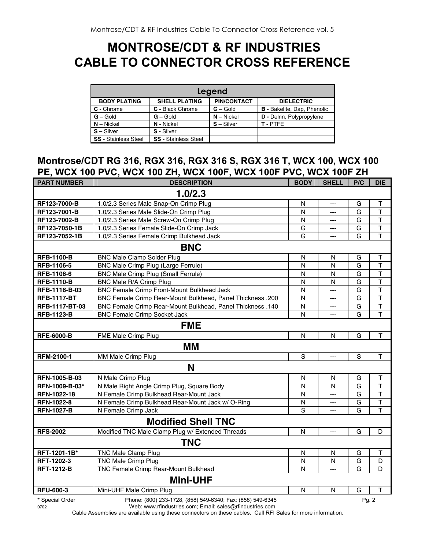## **MONTROSE/CDT & RF INDUSTRIES CABLE TO CONNECTOR CROSS REFERENCE**

|                             |                             | Legend             |                                    |
|-----------------------------|-----------------------------|--------------------|------------------------------------|
| <b>BODY PLATING</b>         | <b>SHELL PLATING</b>        | <b>PIN/CONTACT</b> | <b>DIELECTRIC</b>                  |
| C - Chrome                  | C - Black Chrome            | $G -$ Gold         | <b>B</b> - Bakelite, Dap, Phenolic |
| $G - Gold$                  | $G - Gold$                  | $N - Nickel$       | D - Delrin, Polypropylene          |
| $N - Nickel$                | N - Nickel                  | $S - Silver$       | T-PTFE                             |
| $S - Silver$                | S - Silver                  |                    |                                    |
| <b>SS - Stainless Steel</b> | <b>SS - Stainless Steel</b> |                    |                                    |

#### **Montrose/CDT RG 316, RGX 316, RGX 316 S, RGX 316 T, WCX 100, WCX 100 PE, WCX 100 PVC, WCX 100 ZH, WCX 100F, WCX 100F PVC, WCX 100F ZH**

| <b>PART NUMBER</b> | <b>DESCRIPTION</b>                                                | <b>BODY</b>    | <b>SHELL</b>   | P/C            | <b>DIE</b>              |  |  |  |  |
|--------------------|-------------------------------------------------------------------|----------------|----------------|----------------|-------------------------|--|--|--|--|
|                    | 1.0/2.3                                                           |                |                |                |                         |  |  |  |  |
| RF123-7000-B       | 1.0/2.3 Series Male Snap-On Crimp Plug                            | N              | ---            | G              | Τ                       |  |  |  |  |
| RF123-7001-B       | 1.0/2.3 Series Male Slide-On Crimp Plug                           | N              | $\overline{a}$ | G              | $\mathsf{T}$            |  |  |  |  |
| RF123-7002-B       | 1.0/2.3 Series Male Screw-On Crimp Plug                           | $\mathsf{N}$   | ---            | G              | $\top$                  |  |  |  |  |
| RF123-7050-1B      | 1.0/2.3 Series Female Slide-On Crimp Jack                         | G              | ---            | G              | $\top$                  |  |  |  |  |
| RF123-7052-1B      | 1.0/2.3 Series Female Crimp Bulkhead Jack                         | G              | ---            | G              | T                       |  |  |  |  |
|                    | <b>BNC</b>                                                        |                |                |                |                         |  |  |  |  |
| <b>RFB-1100-B</b>  | <b>BNC Male Clamp Solder Plug</b>                                 | $\mathsf{N}$   | N              | G              | Τ                       |  |  |  |  |
| RFB-1106-5         | BNC Male Crimp Plug (Large Ferrule)                               | N              | N              | G              | $\overline{\mathsf{T}}$ |  |  |  |  |
| RFB-1106-6         | <b>BNC Male Crimp Plug (Small Ferrule)</b>                        | N              | $\overline{N}$ | G              | $\overline{\mathsf{T}}$ |  |  |  |  |
| <b>RFB-1110-B</b>  | BNC Male R/A Crimp Plug                                           | N              | N              | G              | $\overline{\mathsf{T}}$ |  |  |  |  |
| RFB-1116-B-03      | BNC Female Crimp Front-Mount Bulkhead Jack                        | N              | $\overline{a}$ | G              | T                       |  |  |  |  |
| <b>RFB-1117-BT</b> | BNC Female Crimp Rear-Mount Bulkhead, Panel Thickness .200        | N              | ---            | G              | $\top$                  |  |  |  |  |
| RFB-1117-BT-03     | <b>BNC Female Crimp Rear-Mount Bulkhead, Panel Thickness .140</b> | N              | $---$          | G              | $\overline{\mathsf{T}}$ |  |  |  |  |
| <b>RFB-1123-B</b>  | <b>BNC Female Crimp Socket Jack</b>                               | N              | ---            | G              | $\mathsf T$             |  |  |  |  |
| <b>FME</b>         |                                                                   |                |                |                |                         |  |  |  |  |
| <b>RFE-6000-B</b>  | FME Male Crimp Plug                                               | N              | N              | G              | $\mathsf T$             |  |  |  |  |
|                    | MМ                                                                |                |                |                |                         |  |  |  |  |
| RFM-2100-1         | MM Male Crimp Plug                                                | $\overline{s}$ | $\overline{a}$ | $\overline{s}$ | $\mathsf{T}$            |  |  |  |  |
|                    | N                                                                 |                |                |                |                         |  |  |  |  |
| RFN-1005-B-03      | N Male Crimp Plug                                                 | $\mathsf{N}$   | $\mathsf{N}$   | G              | Τ                       |  |  |  |  |
| RFN-1009-B-03*     | N Male Right Angle Crimp Plug, Square Body                        | N              | $\mathsf{N}$   | G              | Ť                       |  |  |  |  |
| RFN-1022-18        | N Female Crimp Bulkhead Rear-Mount Jack                           | N              | $\overline{a}$ | G              | $\mathsf{T}$            |  |  |  |  |
| RFN-1022-8         | N Female Crimp Bulkhead Rear-Mount Jack w/ O-Ring                 | N              | ---            | G              | $\mathsf T$             |  |  |  |  |
| <b>RFN-1027-B</b>  | N Female Crimp Jack                                               | S              | $\overline{a}$ | G              | $\mathsf{T}$            |  |  |  |  |
|                    | <b>Modified Shell TNC</b>                                         |                |                |                |                         |  |  |  |  |
| <b>RFS-2002</b>    | Modified TNC Male Clamp Plug w/ Extended Threads                  | $\mathsf{N}$   | $\cdots$       | G              | D                       |  |  |  |  |
|                    | <b>TNC</b>                                                        |                |                |                |                         |  |  |  |  |
| RFT-1201-1B*       | <b>TNC Male Clamp Plug</b>                                        | N              | N              | G              | Т                       |  |  |  |  |
| RFT-1202-3         | <b>TNC Male Crimp Plug</b>                                        | $\mathsf{N}$   | $\mathsf{N}$   | G              | D                       |  |  |  |  |
| <b>RFT-1212-B</b>  | TNC Female Crimp Rear-Mount Bulkhead                              | N              |                | G              | D                       |  |  |  |  |
|                    | <b>Mini-UHF</b>                                                   |                |                |                |                         |  |  |  |  |
| <b>RFU-600-3</b>   | Mini-UHF Male Crimp Plug                                          | $\mathsf{N}$   | $\mathsf{N}$   | G              | Т                       |  |  |  |  |
| * Special Order    | Phone: (800) 233-1728, (858) 549-6340; Fax: (858) 549-6345        |                |                | Pq. 2          |                         |  |  |  |  |

0702 Web: www.rfindustries.com; Email: sales@rfindustries.com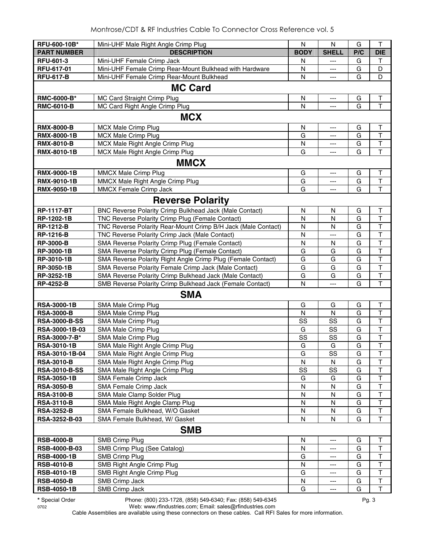| RFU-600-10B*         |                                                               | N           | N            | G   | $\mathsf T$             |
|----------------------|---------------------------------------------------------------|-------------|--------------|-----|-------------------------|
|                      | Mini-UHF Male Right Angle Crimp Plug                          |             |              |     |                         |
| <b>PART NUMBER</b>   | <b>DESCRIPTION</b>                                            | <b>BODY</b> | <b>SHELL</b> | P/C | <b>DIE</b>              |
| <b>RFU-601-3</b>     | Mini-UHF Female Crimp Jack                                    | N           | ---          | G   | T                       |
| RFU-617-01           | Mini-UHF Female Crimp Rear-Mount Bulkhead with Hardware       | N           | ---          | G   | D                       |
| <b>RFU-617-B</b>     | Mini-UHF Female Crimp Rear-Mount Bulkhead                     | N           | ---          | G   | D                       |
|                      | <b>MC Card</b>                                                |             |              |     |                         |
| RMC-6000-B*          | MC Card Straight Crimp Plug                                   | N           | ---          | G   | $\sf T$                 |
| <b>RMC-6010-B</b>    | MC Card Right Angle Crimp Plug                                | N           | ---          | G   | $\overline{\mathsf{T}}$ |
|                      | <b>MCX</b>                                                    |             |              |     |                         |
| <b>RMX-8000-B</b>    | <b>MCX Male Crimp Plug</b>                                    | N           | ---          | G   | Τ                       |
| <b>RMX-8000-1B</b>   | <b>MCX Male Crimp Plug</b>                                    | G           | ---          | G   | $\top$                  |
| <b>RMX-8010-B</b>    | MCX Male Right Angle Crimp Plug                               | N           | ---          | G   | $\overline{\mathsf{T}}$ |
| RMX-8010-1B          | MCX Male Right Angle Crimp Plug                               | G           | ---          | G   | T                       |
|                      |                                                               |             |              |     |                         |
|                      | <b>MMCX</b>                                                   |             |              |     |                         |
| <b>RMX-9000-1B</b>   | MMCX Male Crimp Plug                                          | G           | ---          | G   | $\mathsf T$             |
| RMX-9010-1B          | MMCX Male Right Angle Crimp Plug                              | G           | ---          | G   | $\mathsf T$             |
| <b>RMX-9050-1B</b>   | MMCX Female Crimp Jack                                        | G           | ---          | G   | T                       |
|                      | <b>Reverse Polarity</b>                                       |             |              |     |                         |
| <b>RP-1117-BT</b>    | BNC Reverse Polarity Crimp Bulkhead Jack (Male Contact)       | N           | N            | G   | T                       |
| RP-1202-1B           | TNC Reverse Polarity Crimp Plug (Female Contact)              | N           | N            | G   | $\top$                  |
| <b>RP-1212-B</b>     | TNC Reverse Polarity Rear-Mount Crimp B/H Jack (Male Contact) | ${\sf N}$   | N            | G   | T                       |
| <b>RP-1216-B</b>     | TNC Reverse Polarity Crimp Jack (Male Contact)                | N           | ---          | G   | $\overline{\mathsf{T}}$ |
| <b>RP-3000-B</b>     | SMA Reverse Polarity Crimp Plug (Female Contact)              | N           | N            | G   | $\overline{\mathsf{T}}$ |
| RP-3000-1B           | SMA Reverse Polarity Crimp Plug (Female Contact)              | G           | G            | G   | $\mathsf T$             |
| RP-3010-1B           | SMA Reverse Polarity Right Angle Crimp Plug (Female Contact)  | G           | G            | G   | $\overline{\mathsf{T}}$ |
| RP-3050-1B           | SMA Reverse Polarity Female Crimp Jack (Male Contact)         | G           | G            | G   | $\overline{\mathsf{T}}$ |
| RP-3252-1B           | SMA Reverse Polarity Crimp Bulkhead Jack (Male Contact)       | G           | G            | G   | $\overline{\mathsf{T}}$ |
| <b>RP-4252-B</b>     | SMB Reverse Polarity Crimp Bulkhead Jack (Female Contact)     | N           | ---          | G   | T                       |
|                      | <b>SMA</b>                                                    |             |              |     |                         |
| <b>RSA-3000-1B</b>   | SMA Male Crimp Plug                                           | G           | G            | G   | Τ                       |
| <b>RSA-3000-B</b>    | SMA Male Crimp Plug                                           | N           | N            | G   | T                       |
| <b>RSA-3000-B-SS</b> | SMA Male Crimp Plug                                           | SS          | SS           | G   | $\overline{\mathsf{T}}$ |
| RSA-3000-1B-03       | SMA Male Crimp Plug                                           | G           | SS           | G   | $\overline{\mathsf{T}}$ |
| RSA-3000-7-B*        | SMA Male Crimp Plug                                           | SS          | SS           | G   | T                       |
| <b>RSA-3010-1B</b>   | SMA Male Right Angle Crimp Plug                               | G           | G            | G   | $\mathsf T$             |
| RSA-3010-1B-04       | SMA Male Right Angle Crimp Plug                               | G           | SS           | G   | T                       |
| <b>RSA-3010-B</b>    | SMA Male Right Angle Crimp Plug                               | N           | N            | G   | T                       |
| <b>RSA-3010-B-SS</b> | SMA Male Right Angle Crimp Plug                               | SS          | SS           | G   | T                       |
| <b>RSA-3050-1B</b>   | SMA Female Crimp Jack                                         | G           | G            | G   | $\overline{\mathsf{T}}$ |
| <b>RSA-3050-B</b>    | SMA Female Crimp Jack                                         | N           | N            | G   | T                       |
| <b>RSA-3100-B</b>    | SMA Male Clamp Solder Plug                                    | N           | N            | G   | T                       |
| <b>RSA-3110-B</b>    | SMA Male Right Angle Clamp Plug                               | N           | N            | G   | T                       |
| <b>RSA-3252-B</b>    | SMA Female Bulkhead, W/O Gasket                               | N           | N            | G   | $\mathsf T$             |
| RSA-3252-B-03        | SMA Female Bulkhead, W/ Gasket                                | N           | N            | G   | $\mathsf T$             |
|                      | <b>SMB</b>                                                    |             |              |     |                         |
| <b>RSB-4000-B</b>    | <b>SMB Crimp Plug</b>                                         | N           | ---          | G   | T                       |
| RSB-4000-B-03        | SMB Crimp Plug (See Catalog)                                  | N           | ---          | G   | $\top$                  |
| <b>RSB-4000-1B</b>   | <b>SMB Crimp Plug</b>                                         | G           | ---          | G   | $\top$                  |
| <b>RSB-4010-B</b>    | SMB Right Angle Crimp Plug                                    | N           | ---          | G   | $\top$                  |
| <b>RSB-4010-1B</b>   | SMB Right Angle Crimp Plug                                    | G           | ---          | G   | T                       |
| <b>RSB-4050-B</b>    | SMB Crimp Jack                                                | N           | ---          | G   | $\sf T$                 |
| <b>RSB-4050-1B</b>   | SMB Crimp Jack                                                | G           | ---          | G   | $\mathsf T$             |

**\*** Special Order Phone: (800) 233-1728, (858) 549-6340; Fax: (858) 549-6345 Pg. 3

0702 Web: www.rfindustries.com; Email: sales@rfindustries.com Cable Assemblies are available using these connectors on these cables. Call RFI Sales for more information.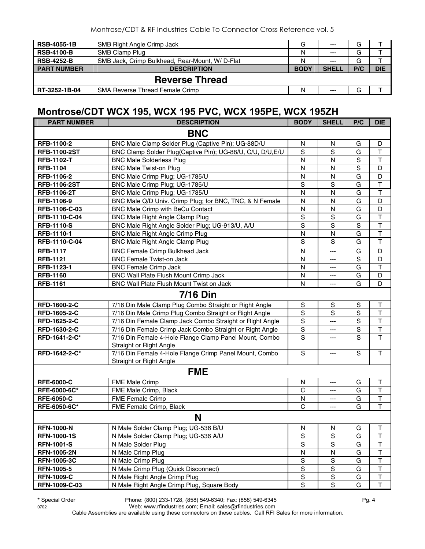| <b>RSB-4055-1B</b> | SMB Right Angle Crimp Jack                     | G           | $---$        | G   |            |
|--------------------|------------------------------------------------|-------------|--------------|-----|------------|
| <b>RSB-4100-B</b>  | SMB Clamp Plug                                 | N           | $---$        | G   |            |
| <b>RSB-4252-B</b>  | SMB Jack, Crimp Bulkhead, Rear-Mount, W/D-Flat | N           | $---$        | G   |            |
| <b>PART NUMBER</b> | <b>DESCRIPTION</b>                             | <b>BODY</b> | <b>SHELL</b> | P/C | <b>DIE</b> |
|                    | <b>Reverse Thread</b>                          |             |              |     |            |
| RT-3252-1B-04      | <b>SMA Reverse Thread Female Crimp</b>         | N           | $---$        | G   |            |

#### **Montrose/CDT WCX 195, WCX 195 PVC, WCX 195PE, WCX 195ZH**

| <b>PART NUMBER</b>            | . . <i>. .</i><br><b>DESCRIPTION</b>                                              | <b>BODY</b>                   | <b>SHELL</b>  | P/C              | <b>DIE</b>                   |
|-------------------------------|-----------------------------------------------------------------------------------|-------------------------------|---------------|------------------|------------------------------|
|                               | <b>BNC</b>                                                                        |                               |               |                  |                              |
| RFB-1100-2                    | BNC Male Clamp Solder Plug (Captive Pin); UG-88D/U                                | N                             | N             | G                | D                            |
| <b>RFB-1100-2ST</b>           | BNC Clamp Solder Plug(Captive Pin); UG-88/U, C/U, D/U, E/U                        | $\mathbf S$                   | S             | G                | T                            |
| <b>RFB-1102-T</b>             | <b>BNC Male Solderless Plug</b>                                                   | N                             | $\mathsf{N}$  | $\mathbf S$      | $\overline{\mathsf{T}}$      |
| <b>RFB-1104</b>               | <b>BNC Male Twist-on Plug</b>                                                     | N                             | N             | $\mathbf S$      | D                            |
| RFB-1106-2                    | BNC Male Crimp Plug; UG-1785/U                                                    | N                             | N             | G                | D                            |
| <b>RFB-1106-2ST</b>           | BNC Male Crimp Plug; UG-1785/U                                                    | $\mathbf S$                   | S             | G                | $\mathsf T$                  |
| <b>RFB-1106-2T</b>            | BNC Male Crimp Plug; UG-1785/U                                                    | N                             | N             | G                | T                            |
| RFB-1106-9                    | BNC Male Q/D Univ. Crimp Plug; for BNC, TNC, & N Female                           | ${\sf N}$                     | N             | G                | D                            |
| RFB-1106-C-03                 | BNC Male Crimp with BeCu Contact                                                  | ${\sf N}$                     | $\mathsf{N}$  | G                | D                            |
| RFB-1110-C-04                 | <b>BNC Male Right Angle Clamp Plug</b>                                            | $\mathbf S$                   | S             | G                | T                            |
| <b>RFB-1110-S</b>             | BNC Male Right Angle Solder Plug; UG-913/U, A/U                                   | $\mathbf S$                   | S             | $\mathbf S$      | T                            |
| RFB-1110-1                    | <b>BNC Male Right Angle Crimp Plug</b>                                            | ${\sf N}$                     | ${\sf N}$     | G                | $\top$                       |
| RFB-1110-C-04                 | BNC Male Right Angle Clamp Plug                                                   | S                             | S             | G                | $\overline{\mathsf{T}}$      |
| <b>RFB-1117</b>               | <b>BNC Female Crimp Bulkhead Jack</b>                                             | N                             | ---           | G                | D                            |
| <b>RFB-1121</b>               | <b>BNC Female Twist-on Jack</b>                                                   | N                             | ---           | $\mathbf S$      | D                            |
| RFB-1123-1                    | <b>BNC Female Crimp Jack</b>                                                      | ${\sf N}$                     | ---           | G                | $\top$                       |
| <b>RFB-1160</b>               | BNC Wall Plate Flush Mount Crimp Jack                                             | N                             | ---           | G                | D                            |
| <b>RFB-1161</b>               | BNC Wall Plate Flush Mount Twist on Jack                                          | N                             | ---           | G                | D                            |
|                               | <b>7/16 Din</b>                                                                   |                               |               |                  |                              |
| RFD-1600-2-C                  |                                                                                   | $\mathbf S$                   |               |                  | $\top$                       |
|                               | 7/16 Din Male Clamp Plug Combo Straight or Right Angle                            |                               | S             | S<br>$\mathbf S$ | $\top$                       |
| RFD-1605-2-C<br>RFD-1625-2-C  | 7/16 Din Male Crimp Plug Combo Straight or Right Angle                            | S<br>S                        | S             | S                | $\overline{\mathsf{T}}$      |
|                               | 7/16 Din Female Clamp Jack Combo Straight or Right Angle                          |                               | ---           |                  |                              |
| RFD-1630-2-C<br>RFD-1641-2-C* | 7/16 Din Female Crimp Jack Combo Straight or Right Angle                          | $\mathbf S$<br>$\overline{s}$ | ---           | $\mathbf S$<br>S | T<br>$\overline{\mathsf{T}}$ |
|                               | 7/16 Din Female 4-Hole Flange Clamp Panel Mount, Combo<br>Straight or Right Angle |                               | ---           |                  |                              |
| RFD-1642-2-C*                 | 7/16 Din Female 4-Hole Flange Crimp Panel Mount, Combo                            | $\mathbf S$                   | ---           | $\mathbf S$      | $\top$                       |
|                               | Straight or Right Angle                                                           |                               |               |                  |                              |
|                               | <b>FME</b>                                                                        |                               |               |                  |                              |
| <b>RFE-6000-C</b>             | FME Male Crimp                                                                    | N                             | ---           | G                | Τ                            |
| RFE-6000-6C*                  | FME Male Crimp, Black                                                             | C                             | ---           | G                | T                            |
| <b>RFE-6050-C</b>             | FME Female Crimp                                                                  | N                             | ---           | G                | T                            |
| RFE-6050-6C*                  | FME Female Crimp, Black                                                           | $\mathsf{C}$                  | ---           | G                | $\overline{\mathsf{T}}$      |
|                               | N                                                                                 |                               |               |                  |                              |
| <b>RFN-1000-N</b>             | N Male Solder Clamp Plug; UG-536 B/U                                              | N                             | N             | G                | J.                           |
| <b>RFN-1000-1S</b>            | N Male Solder Clamp Plug; UG-536 A/U                                              | $\mathbf S$                   | $\mathbb S$   | G                | $\mathsf T$                  |
| <b>RFN-1001-S</b>             | N Male Solder Plug                                                                | $\mathbf S$                   | ${\mathsf S}$ | G                | T                            |
| <b>RFN-1005-2N</b>            | N Male Crimp Plug                                                                 | N                             | ${\sf N}$     | G                | $\top$                       |
| <b>RFN-1005-3C</b>            | N Male Crimp Plug                                                                 | $\mathbf S$                   | $\mathbf S$   | G                | $\top$                       |
| <b>RFN-1005-5</b>             | N Male Crimp Plug (Quick Disconnect)                                              | $\mathsf S$                   | $\mathbf S$   | G                | $\mathsf T$                  |
| <b>RFN-1009-C</b>             | N Male Right Angle Crimp Plug                                                     | $\mathbf S$                   | S             | G                | T                            |
| RFN-1009-C-03                 | N Male Right Angle Crimp Plug, Square Body                                        | S                             | $\mathbf S$   | G                | $\overline{\mathsf{T}}$      |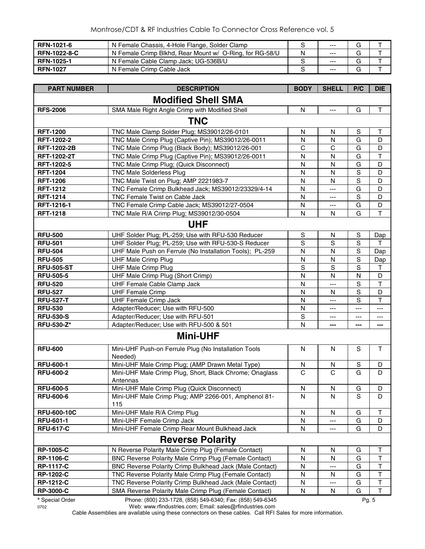| <b>RFN-1021-6</b>   | N Female Chassis, 4-Hole Flange, Solder Clamp           |   | $- - -$ | G |  |
|---------------------|---------------------------------------------------------|---|---------|---|--|
| <b>RFN-1022-8-C</b> | N Female Crimp Blkhd, Rear Mount w/ O-Ring, for RG-58/U | N | $- - -$ |   |  |
| <b>RFN-1025-1</b>   | N Female Cable Clamp Jack; UG-536B/U                    |   | $- - -$ |   |  |
| <b>RFN-1027</b>     | N Female Crimp Cable Jack                               |   | $- - -$ |   |  |

| <b>PART NUMBER</b> | <b>DESCRIPTION</b>                                                             | <b>BODY</b>  | <b>SHELL</b>   | P/C            | <b>DIE</b>              |
|--------------------|--------------------------------------------------------------------------------|--------------|----------------|----------------|-------------------------|
|                    | <b>Modified Shell SMA</b>                                                      |              |                |                |                         |
| <b>RFS-2006</b>    | SMA Male Right Angle Crimp with Modified Shell                                 | N            | $\overline{a}$ | G              | $\mathsf{T}$            |
|                    | <b>TNC</b>                                                                     |              |                |                |                         |
| <b>RFT-1200</b>    | TNC Male Clamp Solder Plug; MS39012/26-0101                                    | N            | N              | S              | Т                       |
| RFT-1202-2         | TNC Male Crimp Plug (Captive Pin); MS39012/26-0011                             | $\mathsf{N}$ | $\mathsf{N}$   | G              | D                       |
| <b>RFT-1202-2B</b> | TNC Male Crimp Plug (Black Body); MS39012/26-001                               | $\mathbf C$  | $\mathsf{C}$   | G              | D                       |
| <b>RFT-1202-2T</b> | TNC Male Crimp Plug (Captive Pin); MS39012/26-0011                             | N            | N              | G              | $\overline{\mathsf{T}}$ |
| RFT-1202-5         | TNC Male Crimp Plug; (Quick Disconnect)                                        | N            | N              | G              | D                       |
| <b>RFT-1204</b>    | <b>TNC Male Solderless Plug</b>                                                | N            | N              | $\overline{s}$ | D                       |
| <b>RFT-1206</b>    | TNC Male Twist on Plug; AMP 2221983-7                                          | N            | N              | $\overline{s}$ | D                       |
| <b>RFT-1212</b>    | TNC Female Crimp Bulkhead Jack; MS39012/23329/4-14                             | N            | ---            | G              | D                       |
| <b>RFT-1214</b>    | TNC Female Twist on Cable Jack                                                 | N            | ---            | $\mathbf S$    | D                       |
| RFT-1216-1         | TNC Female Crimp Cable Jack; MS39012/27-0504                                   | N            | ---            | G              | D                       |
| <b>RFT-1218</b>    | TNC Male R/A Crimp Plug; MS39012/30-0504                                       | $\mathsf{N}$ | N              | G              | T                       |
|                    | <b>UHF</b>                                                                     |              |                |                |                         |
| <b>RFU-500</b>     | UHF Solder Plug; PL-259; Use with RFU-530 Reducer                              | ${\sf S}$    | ${\sf N}$      | $\mathbf S$    | Dap                     |
| <b>RFU-501</b>     | UHF Solder Plug; PL-259; Use with RFU-530-S Reducer                            | S            | S              | $\mathbf S$    | т                       |
| <b>RFU-504</b>     | UHF Male Push on Ferrule (No Installation Tools); PL-259                       | N            | N              | $\mathbf S$    | Dap                     |
| <b>RFU-505</b>     | <b>UHF Male Crimp Plug</b>                                                     | N            | N              | $\mathbf S$    | Dap                     |
| <b>RFU-505-ST</b>  | <b>UHF Male Crimp Plug</b>                                                     | S            | S              | $\mathbf S$    | Т                       |
| <b>RFU-505-5</b>   | UHF Male Crimp Plug (Short Crimp)                                              | N            | N              | N              | D                       |
| <b>RFU-520</b>     | UHF Female Cable Clamp Jack                                                    | N            | ---            | $\mathbf S$    | $\top$                  |
| <b>RFU-527</b>     | <b>UHF Female Crimp</b>                                                        | N            | N              | $\overline{s}$ | D                       |
| <b>RFU-527-T</b>   | <b>UHF Female Crimp Jack</b>                                                   | N            | ---            | S              | $\mathsf T$             |
| <b>RFU-530</b>     | Adapter/Reducer; Use with RFU-500                                              | $\mathsf{N}$ | ---            | ---            | ---                     |
| <b>RFU-530-S</b>   | Adapter/Reducer; Use with RFU-501                                              | $\mathsf S$  | ---            | ---            | ---                     |
| <b>RFU-530-Z*</b>  | Adapter/Reducer; Use with RFU-500 & 501                                        | N            | ---            | ---            | ---                     |
|                    | <b>Mini-UHF</b>                                                                |              |                |                |                         |
| <b>RFU-600</b>     | Mini-UHF Push-on Ferrule Plug (No Installation Tools                           | N            | N              | S              | $\mathsf{T}$            |
|                    | Needed)                                                                        |              |                |                |                         |
| <b>RFU-600-1</b>   | Mini-UHF Male Crimp Plug; (AMP Drawn Metal Type)                               | N            | N              | S              | D                       |
| <b>RFU-600-2</b>   | Mini-UHF Male Crimp Plug, Short, Black Chrome; Onaglass                        | $\mathsf{C}$ | $\overline{C}$ | G              | D                       |
|                    | Antennas                                                                       |              |                |                |                         |
| <b>RFU-600-5</b>   | Mini-UHF Male Crimp Plug (Quick Disconnect)                                    | $\mathsf{N}$ | N              | G              | D                       |
| <b>RFU-600-6</b>   | Mini-UHF Male Crimp Plug; AMP 2266-001, Amphenol 81-                           | N            | N              | $\mathbf S$    | D                       |
| <b>RFU-600-10C</b> | 115<br>Mini-UHF Male R/A Crimp Plug                                            | N            | N              | G              | Τ                       |
| <b>RFU-601-1</b>   | Mini-UHF Female Crimp Jack                                                     | N            | ---            | G              | D                       |
| <b>RFU-617-C</b>   | Mini-UHF Female Crimp Rear Mount Bulkhead Jack                                 | N            | ---            | G              | D                       |
|                    |                                                                                |              |                |                |                         |
| <b>RP-1005-C</b>   | <b>Reverse Polarity</b><br>N Reverse Polarity Male Crimp Plug (Female Contact) | N            | N              | G              | Τ                       |
| <b>RP-1106-C</b>   | BNC Reverse Polarity Male Crimp Plug (Female Contact)                          | N            | N              | G              | T                       |
| <b>RP-1117-C</b>   | BNC Reverse Polarity Crimp Bulkhead Jack (Male Contact)                        | N            | ---            | G              | $\sf T$                 |
| <b>RP-1202-C</b>   | TNC Reverse Polarity Male Crimp Plug (Female Contact)                          | N            | N              | G              | Τ                       |
| <b>RP-1212-C</b>   | TNC Reverse Polarity Crimp Bulkhead Jack (Male Contact)                        | N            | ---            | G              | Τ                       |
| <b>RP-3000-C</b>   | SMA Reverse Polarity Male Crimp Plug (Female Contact)                          | ${\sf N}$    | N              | G              | T                       |
|                    |                                                                                |              |                |                |                         |

**\*** Special Order Phone: (800) 233-1728, (858) 549-6340; Fax: (858) 549-6345 Pg. 5

0702 Web: www.rfindustries.com; Email: sales@rfindustries.com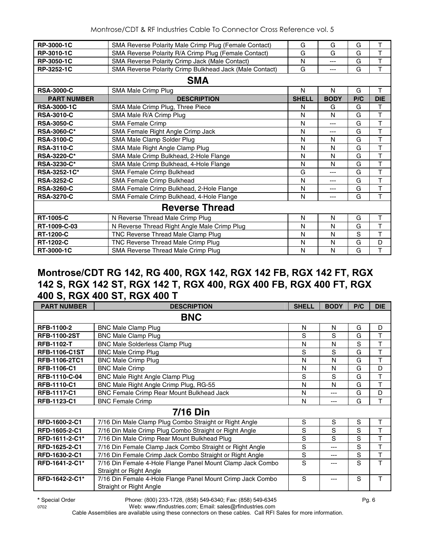| RP-3000-1C         | SMA Reverse Polarity Male Crimp Plug (Female Contact)   | G            | G           | G   | T          |  |  |  |  |  |
|--------------------|---------------------------------------------------------|--------------|-------------|-----|------------|--|--|--|--|--|
| RP-3010-1C         | SMA Reverse Polarity R/A Crimp Plug (Female Contact)    | G            | G           | G   | T          |  |  |  |  |  |
| RP-3050-1C         | SMA Reverse Polarity Crimp Jack (Male Contact)          | N            | ---         | G   | T          |  |  |  |  |  |
| RP-3252-1C         | SMA Reverse Polarity Crimp Bulkhead Jack (Male Contact) | G            | ---         | G   | T          |  |  |  |  |  |
|                    | <b>SMA</b>                                              |              |             |     |            |  |  |  |  |  |
| <b>RSA-3000-C</b>  | SMA Male Crimp Plug                                     | N            | N           | G   | T          |  |  |  |  |  |
| <b>PART NUMBER</b> | <b>DESCRIPTION</b>                                      | <b>SHELL</b> | <b>BODY</b> | P/C | <b>DIE</b> |  |  |  |  |  |
| <b>RSA-3000-1C</b> | SMA Male Crimp Plug, Three Piece                        | N            | G           | G   | T          |  |  |  |  |  |
| <b>RSA-3010-C</b>  | SMA Male R/A Crimp Plug                                 | N            | N           | G   | T          |  |  |  |  |  |
| <b>RSA-3050-C</b>  | <b>SMA Female Crimp</b>                                 | N            | ---         | G   | T          |  |  |  |  |  |
| <b>RSA-3060-C*</b> | SMA Female Right Angle Crimp Jack                       | N            | ---         | G   | T          |  |  |  |  |  |
| <b>RSA-3100-C</b>  | SMA Male Clamp Solder Plug                              | N            | N           | G   | T          |  |  |  |  |  |
| <b>RSA-3110-C</b>  | SMA Male Right Angle Clamp Plug                         | N            | N           | G   | T          |  |  |  |  |  |
| <b>RSA-3220-C*</b> | SMA Male Crimp Bulkhead, 2-Hole Flange                  | N            | N           | G   | T          |  |  |  |  |  |
| <b>RSA-3230-C*</b> | SMA Male Crimp Bulkhead, 4-Hole Flange                  | N            | N           | G   | T          |  |  |  |  |  |
| RSA-3252-1C*       | SMA Female Crimp Bulkhead                               | G            | ---         | G   | T          |  |  |  |  |  |
| <b>RSA-3252-C</b>  | SMA Female Crimp Bulkhead                               | N            | ---         | G   | T          |  |  |  |  |  |
| <b>RSA-3260-C</b>  | SMA Female Crimp Bulkhead, 2-Hole Flange                | N            | ---         | G   | T          |  |  |  |  |  |
| <b>RSA-3270-C</b>  | SMA Female Crimp Bulkhead, 4-Hole Flange                | N            | ---         | G   | T          |  |  |  |  |  |
|                    | <b>Reverse Thread</b>                                   |              |             |     |            |  |  |  |  |  |
| <b>RT-1005-C</b>   | N Reverse Thread Male Crimp Plug                        | N            | N           | G   | T          |  |  |  |  |  |
| RT-1009-C-03       | N Reverse Thread Right Angle Male Crimp Plug            | N            | N           | G   | T          |  |  |  |  |  |
| <b>RT-1200-C</b>   | TNC Reverse Thread Male Clamp Plug                      | N            | N           | S   | T          |  |  |  |  |  |
| <b>RT-1202-C</b>   | TNC Reverse Thread Male Crimp Plug                      | N            | N           | G   | D          |  |  |  |  |  |
| RT-3000-1C         | <b>SMA Reverse Thread Male Crimp Plug</b>               | N            | N           | G   | T          |  |  |  |  |  |

#### **Montrose/CDT RG 142, RG 400, RGX 142, RGX 142 FB, RGX 142 FT, RGX 142 S, RGX 142 ST, RGX 142 T, RGX 400, RGX 400 FB, RGX 400 FT, RGX 400 S, RGX 400 ST, RGX 400 T**

| <b>PART NUMBER</b>   | <b>DESCRIPTION</b>                                                                    | <b>SHELL</b> | <b>BODY</b> | P/C | <b>DIE</b> |
|----------------------|---------------------------------------------------------------------------------------|--------------|-------------|-----|------------|
|                      | <b>BNC</b>                                                                            |              |             |     |            |
| <b>RFB-1100-2</b>    | <b>BNC Male Clamp Plug</b>                                                            | N            | Ν           | G   | D          |
| <b>RFB-1100-2ST</b>  | <b>BNC Male Clamp Plug</b>                                                            | S            | S           | G   | T          |
| <b>RFB-1102-T</b>    | <b>BNC Male Solderless Clamp Plug</b>                                                 | N            | N           | S   | T          |
| <b>RFB-1106-C1ST</b> | <b>BNC Male Crimp Plug</b>                                                            | S            | S           | G   | T          |
| <b>RFB-1106-2TC1</b> | <b>BNC Male Crimp Plug</b>                                                            | N            | N           | G   | T          |
| <b>RFB-1106-C1</b>   | <b>BNC Male Crimp</b>                                                                 | N            | N           | G   | D          |
| RFB-1110-C-04        | BNC Male Right Angle Clamp Plug                                                       | S            | S           | G   | T          |
| <b>RFB-1110-C1</b>   | BNC Male Right Angle Crimp Plug, RG-55                                                | N            | N           | G   | T          |
| <b>RFB-1117-C1</b>   | BNC Female Crimp Rear Mount Bulkhead Jack                                             | N            | ---         | G   | D          |
| RFB-1123-C1          | <b>BNC Female Crimp</b>                                                               | N            | ---         | G   | T          |
|                      | <b>7/16 Din</b>                                                                       |              |             |     |            |
| RFD-1600-2-C1        | 7/16 Din Male Clamp Plug Combo Straight or Right Angle                                | S            | S           | S   | Τ          |
| RFD-1605-2-C1        | 7/16 Din Male Crimp Plug Combo Straight or Right Angle                                | S            | S           | S   | T          |
| RFD-1611-2-C1*       | 7/16 Din Male Crimp Rear Mount Bulkhead Plug                                          | S            | S           | S   | T          |
| RFD-1625-2-C1        | 7/16 Din Female Clamp Jack Combo Straight or Right Angle                              | S            | ---         | S   | T          |
| RFD-1630-2-C1        | 7/16 Din Female Crimp Jack Combo Straight or Right Angle                              | S            | ---         | S   | T          |
| RFD-1641-2-C1*       | 7/16 Din Female 4-Hole Flange Panel Mount Clamp Jack Combo<br>Straight or Right Angle | S            |             | S   | T          |
| RFD-1642-2-C1*       | 7/16 Din Female 4-Hole Flange Panel Mount Crimp Jack Combo<br>Straight or Right Angle | S            |             | S   | T          |

**\*** Special Order Phone: (800) 233-1728, (858) 549-6340; Fax: (858) 549-6345 Pg. 6

0702 Web: www.rfindustries.com; Email: sales@rfindustries.com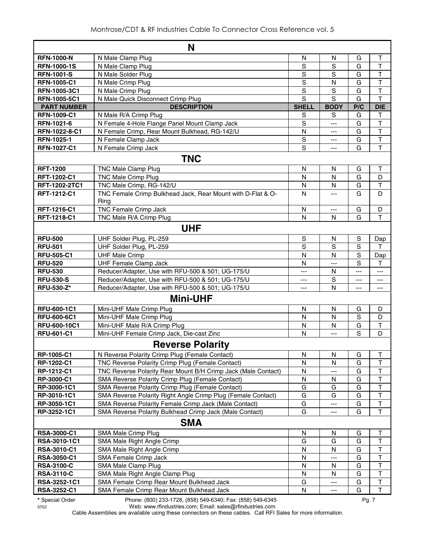|                     | N                                                             |              |              |       |                         |  |  |  |
|---------------------|---------------------------------------------------------------|--------------|--------------|-------|-------------------------|--|--|--|
| <b>RFN-1000-N</b>   | N Male Clamp Plug                                             | N            | N            | G     | T                       |  |  |  |
| <b>RFN-1000-1S</b>  | N Male Clamp Plug                                             | S            | S            | G     | T                       |  |  |  |
| <b>RFN-1001-S</b>   | N Male Solder Plug                                            | S            | S            | G     | Т                       |  |  |  |
| <b>RFN-1005-C1</b>  | N Male Crimp Plug                                             | $\mathbf S$  | N            | G     | $\top$                  |  |  |  |
| RFN-1005-3C1        | N Male Crimp Plug                                             | $\mathbf S$  | $\mathbf S$  | G     | $\top$                  |  |  |  |
| <b>RFN-1005-5C1</b> | N Male Quick Disconnect Crimp Plug                            | S            | S            | G     | $\overline{\mathsf{T}}$ |  |  |  |
| <b>PART NUMBER</b>  | <b>DESCRIPTION</b>                                            | <b>SHELL</b> | <b>BODY</b>  | P/C   | <b>DIE</b>              |  |  |  |
| <b>RFN-1009-C1</b>  | N Male R/A Crimp Plug                                         | S            | S            | G     | т                       |  |  |  |
| RFN-1021-6          | N Female 4-Hole Flange Panel Mount Clamp Jack                 | S            | ---          | G     | T                       |  |  |  |
| RFN-1022-8-C1       | N Female Crimp, Rear Mount Bulkhead, RG-142/U                 | $\mathsf{N}$ | $---$        | G     | T                       |  |  |  |
| RFN-1025-1          | N Female Clamp Jack                                           | $\mathbf S$  | ---          | G     | T                       |  |  |  |
| <b>RFN-1027-C1</b>  | N Female Crimp Jack                                           | S            | ---          | G     | T                       |  |  |  |
|                     | <b>TNC</b>                                                    |              |              |       |                         |  |  |  |
| <b>RFT-1200</b>     | <b>TNC Male Clamp Plug</b>                                    | N            | N            | G     | т                       |  |  |  |
| RFT-1202-C1         | <b>TNC Male Crimp Plug</b>                                    | N            | N            | G     | D                       |  |  |  |
| RFT-1202-2TC1       | TNC Male Crimp, RG-142/U                                      | N            | $\mathsf{N}$ | G     | T                       |  |  |  |
| RFT-1212-C1         | TNC Female Crimp Bulkhead Jack, Rear Mount with D-Flat & O-   | N            | ---          | G     | D                       |  |  |  |
|                     | Ring                                                          |              |              |       |                         |  |  |  |
| RFT-1216-C1         | <b>TNC Female Crimp Jack</b>                                  | $\mathsf{N}$ | ---          | G     | D                       |  |  |  |
| RFT-1218-C1         | TNC Male R/A Crimp Plug                                       | N            | N            | G     | T                       |  |  |  |
| <b>UHF</b>          |                                                               |              |              |       |                         |  |  |  |
| <b>RFU-500</b>      | UHF Solder Plug, PL-259                                       | S            | N            | S     | Dap                     |  |  |  |
| <b>RFU-501</b>      | UHF Solder Plug, PL-259                                       | S            | S            | S     | т                       |  |  |  |
| <b>RFU-505-C1</b>   | <b>UHF Male Crimp</b>                                         | N            | N            | S     | Dap                     |  |  |  |
| <b>RFU-520</b>      | <b>UHF Female Clamp Jack</b>                                  | N            | ---          | S     | т                       |  |  |  |
| <b>RFU-530</b>      | Reducer/Adapter, Use with RFU-500 & 501; UG-175/U             | ---          | N            | $---$ | ---                     |  |  |  |
| <b>RFU-530-S</b>    | Reducer/Adapter, Use with RFU-500 & 501; UG-175/U             | ---          | S            | ---   | $---$                   |  |  |  |
| <b>RFU-530-Z*</b>   | Reducer/Adapter, Use with RFU-500 & 501; UG-175/U             | ---          | N            | $---$ | ---                     |  |  |  |
|                     | <b>Mini-UHF</b>                                               |              |              |       |                         |  |  |  |
| <b>RFU-600-1C1</b>  | Mini-UHF Male Crimp Plug                                      | N            | N            | G     | D                       |  |  |  |
| <b>RFU-600-6C1</b>  | Mini-UHF Male Crimp Plug                                      | N            | N            | S     | D                       |  |  |  |
| RFU-600-10C1        | Mini-UHF Male R/A Crimp Plug                                  | N            | N            | G     | $\mathsf T$             |  |  |  |
| <b>RFU-601-C1</b>   | Mini-UHF Female Crimp Jack, Die-cast Zinc                     | N            | $-$ --       | S     | D                       |  |  |  |
|                     | <b>Reverse Polarity</b>                                       |              |              |       |                         |  |  |  |
| RP-1005-C1          | N Reverse Polarity Crimp Plug (Female Contact)                | N            | N            | G     | Τ                       |  |  |  |
| RP-1202-C1          | TNC Reverse Polarity Crimp Plug (Female Contact)              | N            | N            | G     | T                       |  |  |  |
| RP-1212-C1          | TNC Reverse Polarity Rear Mount B/H Crimp Jack (Male Contact) | N            | ---          | G     | $\top$                  |  |  |  |
| RP-3000-C1          | SMA Reverse Polarity Crimp Plug (Female Contact)              | N            | N            | G     | $\top$                  |  |  |  |
| RP-3000-1C1         | SMA Reverse Polarity Crimp Plug (Female Contact)              | G            | G            | G     | $\mathsf T$             |  |  |  |
| RP-3010-1C1         | SMA Reverse Polarity Right Angle Crimp Plug (Female Contact)  | G            | G            | G     | $\top$                  |  |  |  |
| RP-3050-1C1         | SMA Reverse Polarity Female Crimp Jack (Male Contact)         | G            | ---          | G     | $\sf T$                 |  |  |  |
| RP-3252-1C1         | SMA Reverse Polarity Bulkhead Crimp Jack (Male Contact)       | G            | ---          | G     | T                       |  |  |  |
|                     | <b>SMA</b>                                                    |              |              |       |                         |  |  |  |
| <b>RSA-3000-C1</b>  | SMA Male Crimp Plug                                           | N            | N            | G     | Τ                       |  |  |  |
| RSA-3010-1C1        | SMA Male Right Angle Crimp                                    | G            | G            | G     | $\sf T$                 |  |  |  |
| <b>RSA-3010-C1</b>  | SMA Male Right Angle Crimp                                    | N            | N            | G     | $\top$                  |  |  |  |
| <b>RSA-3050-C1</b>  | SMA Female Crimp Jack                                         | N            | ---          | G     | Т                       |  |  |  |
| <b>RSA-3100-C</b>   | SMA Male Clamp Plug                                           | N            | N            | G     | T                       |  |  |  |
| <b>RSA-3110-C</b>   | SMA Male Right Angle Clamp Plug                               | N            | N            | G     | $\sf T$                 |  |  |  |
| RSA-3252-1C1        | SMA Female Crimp Rear Mount Bulkhead Jack                     | G            | ---          | G     | $\sf T$                 |  |  |  |
| <b>RSA-3252-C1</b>  | SMA Female Crimp Rear Mount Bulkhead Jack                     | N            | ---          | G     | $\top$                  |  |  |  |

**\*** Special Order Phone: (800) 233-1728, (858) 549-6340; Fax: (858) 549-6345 Pg. 7

0702 Web: www.rfindustries.com; Email: sales@rfindustries.com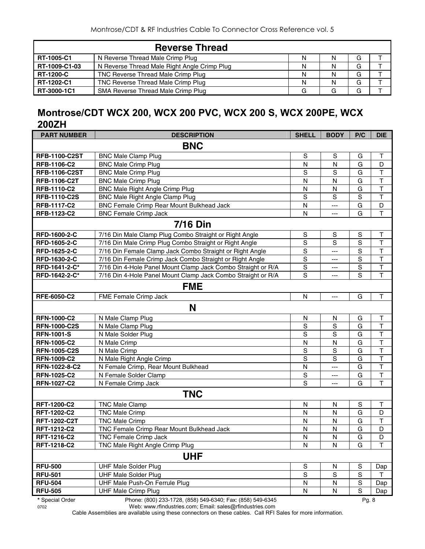|                   | <b>Reverse Thread</b>                        |   |   |   |  |
|-------------------|----------------------------------------------|---|---|---|--|
| <b>RT-1005-C1</b> | N Reverse Thread Male Crimp Plug             | N | N | G |  |
| RT-1009-C1-03     | N Reverse Thread Male Right Angle Crimp Plug | N | N | G |  |
| <b>RT-1200-C</b>  | TNC Reverse Thread Male Crimp Plug           | N | N | G |  |
| RT-1202-C1        | TNC Reverse Thread Male Crimp Plug           | N | N | G |  |
| RT-3000-1C1       | SMA Reverse Thread Male Crimp Plug           | G |   | G |  |

## **Montrose/CDT WCX 200, WCX 200 PVC, WCX 200 S, WCX 200PE, WCX 200ZH**

| <b>PART NUMBER</b>   | <b>DESCRIPTION</b>                                           | <b>SHELL</b>            | <b>BODY</b>    | P/C         | <b>DIE</b>              |  |  |  |
|----------------------|--------------------------------------------------------------|-------------------------|----------------|-------------|-------------------------|--|--|--|
| <b>BNC</b>           |                                                              |                         |                |             |                         |  |  |  |
| <b>RFB-1100-C2ST</b> | <b>BNC Male Clamp Plug</b>                                   | $\mathbf S$             | $\mathbf S$    | G           | $\top$                  |  |  |  |
| RFB-1106-C2          | <b>BNC Male Crimp Plug</b>                                   | N                       | $\mathsf{N}$   | G           | D                       |  |  |  |
| <b>RFB-1106-C2ST</b> | <b>BNC Male Crimp Plug</b>                                   | $\mathbf S$             | $\mathbf S$    | G           | $\top$                  |  |  |  |
| RFB-1106-C2T         | <b>BNC Male Crimp Plug</b>                                   | $\overline{\mathsf{N}}$ | $\mathsf{N}$   | G           | $\overline{\mathsf{T}}$ |  |  |  |
| RFB-1110-C2          | <b>BNC Male Right Angle Crimp Plug</b>                       | $\overline{\mathsf{N}}$ | $\mathsf{N}$   | G           | $\mathsf T$             |  |  |  |
| <b>RFB-1110-C2S</b>  | <b>BNC Male Right Angle Clamp Plug</b>                       | $\mathbf S$             | $\mathsf S$    | $\mathsf S$ | $\mathsf T$             |  |  |  |
| RFB-1117-C2          | BNC Female Crimp Rear Mount Bulkhead Jack                    | ${\sf N}$               | ---            | G           | D                       |  |  |  |
| RFB-1123-C2          | <b>BNC Female Crimp Jack</b>                                 | N                       | $---$          | G           | $\mathsf{T}$            |  |  |  |
|                      | <b>7/16 Din</b>                                              |                         |                |             |                         |  |  |  |
| RFD-1600-2-C         | 7/16 Din Male Clamp Plug Combo Straight or Right Angle       | S                       | S              | S           | Т                       |  |  |  |
| RFD-1605-2-C         | 7/16 Din Male Crimp Plug Combo Straight or Right Angle       | $\mathbf S$             | $\mathbf S$    | S           | $\top$                  |  |  |  |
| RFD-1625-2-C         | 7/16 Din Female Clamp Jack Combo Straight or Right Angle     | $\mathbf S$             | $---$          | S           | $\top$                  |  |  |  |
| RFD-1630-2-C         | 7/16 Din Female Crimp Jack Combo Straight or Right Angle     | $\mathbf S$             | $---$          | S           | $\overline{\mathsf{T}}$ |  |  |  |
| RFD-1641-2-C*        | 7/16 Din 4-Hole Panel Mount Clamp Jack Combo Straight or R/A | $\mathbb S$             | ---            | $\mathbf S$ | $\sf T$                 |  |  |  |
| RFD-1642-2-C*        | 7/16 Din 4-Hole Panel Mount Clamp Jack Combo Straight or R/A | S                       | ---            | S           | $\overline{\mathsf{T}}$ |  |  |  |
| <b>FME</b>           |                                                              |                         |                |             |                         |  |  |  |
| <b>RFE-6050-C2</b>   | FME Female Crimp Jack                                        | N                       | $\overline{a}$ | G           | $\mathsf T$             |  |  |  |
|                      | N                                                            |                         |                |             |                         |  |  |  |
| <b>RFN-1000-C2</b>   | N Male Clamp Plug                                            | N                       | N              | G           | $\top$                  |  |  |  |
| <b>RFN-1000-C2S</b>  | N Male Clamp Plug                                            | $\mathbf S$             | $\mathbf S$    | G           | $\top$                  |  |  |  |
| <b>RFN-1001-S</b>    | N Male Solder Plug                                           | $\mathbf S$             | S              | G           | $\mathsf T$             |  |  |  |
| <b>RFN-1005-C2</b>   | N Male Crimp                                                 | $\mathsf{N}$            | ${\sf N}$      | G           | $\overline{\mathsf{T}}$ |  |  |  |
| <b>RFN-1005-C2S</b>  | N Male Crimp                                                 | $\mathbf S$             | $\mathsf S$    | G           | $\top$                  |  |  |  |
| <b>RFN-1009-C2</b>   | N Male Right Angle Crimp                                     | $\mathbf S$             | S              | G           | $\top$                  |  |  |  |
| RFN-1022-8-C2        | N Female Crimp, Rear Mount Bulkhead                          | N                       | ---            | G           | $\top$                  |  |  |  |
| <b>RFN-1025-C2</b>   | N Female Solder Clamp                                        | $\mathbf S$             | ---            | G           | $\overline{\mathsf{T}}$ |  |  |  |
| <b>RFN-1027-C2</b>   | N Female Crimp Jack                                          | S                       | ---            | G           | $\mathsf{T}$            |  |  |  |
|                      | <b>TNC</b>                                                   |                         |                |             |                         |  |  |  |
| <b>RFT-1200-C2</b>   | <b>TNC Male Clamp</b>                                        | N                       | N              | S           | Т                       |  |  |  |
| RFT-1202-C2          | <b>TNC Male Crimp</b>                                        | N                       | $\mathsf{N}$   | G           | D                       |  |  |  |
| <b>RFT-1202-C2T</b>  | <b>TNC Male Crimp</b>                                        | N                       | $\mathsf{N}$   | G           | $\top$                  |  |  |  |
| <b>RFT-1212-C2</b>   | TNC Female Crimp Rear Mount Bulkhead Jack                    | N                       | $\mathsf{N}$   | G           | D                       |  |  |  |
| RFT-1216-C2          | <b>TNC Female Crimp Jack</b>                                 | N                       | $\mathsf{N}$   | G           | D                       |  |  |  |
| RFT-1218-C2          | TNC Male Right Angle Crimp Plug                              | N                       | ${\sf N}$      | G           | $\mathsf T$             |  |  |  |
|                      | <b>UHF</b>                                                   |                         |                |             |                         |  |  |  |
| <b>RFU-500</b>       | <b>UHF Male Solder Plug</b>                                  | $\mathbf S$             | N              | S           | Dap                     |  |  |  |
| <b>RFU-501</b>       | <b>UHF Male Solder Plug</b>                                  | $\mathbf S$             | $\mathbb S$    | $\mathbf S$ | Τ                       |  |  |  |
| <b>RFU-504</b>       | UHF Male Push-On Ferrule Plug                                | N                       | N              | $\mathbf S$ | Dap                     |  |  |  |
| <b>RFU-505</b>       | <b>UHF Male Crimp Plug</b>                                   | N                       | ${\sf N}$      | $\mathbf S$ | Dap                     |  |  |  |
| * Special Order      | Phone: (800) 233-1728, (858) 549-6340; Fax: (858) 549-6345   |                         |                | Pg. 8       |                         |  |  |  |

0702 Web: www.rfindustries.com; Email: sales@rfindustries.com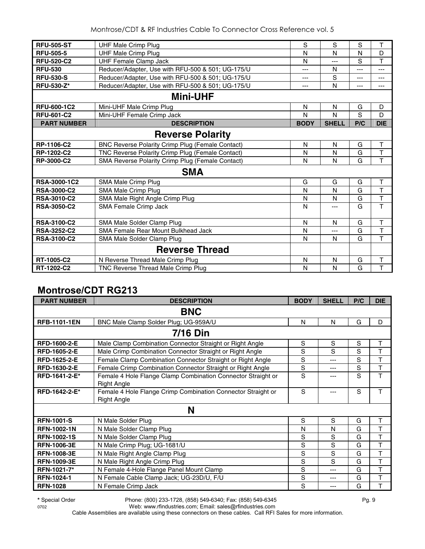| <b>RFU-505-ST</b>  | <b>UHF Male Crimp Plug</b>                        | S           | S            | S   | T                       |
|--------------------|---------------------------------------------------|-------------|--------------|-----|-------------------------|
| <b>RFU-505-5</b>   | <b>UHF Male Crimp Plug</b>                        | N           | N            | N   | D                       |
| <b>RFU-520-C2</b>  | <b>UHF Female Clamp Jack</b>                      | N           | $---$        | S   | T                       |
| <b>RFU-530</b>     | Reducer/Adapter, Use with RFU-500 & 501; UG-175/U | ---         | N            | --- | ---                     |
| <b>RFU-530-S</b>   | Reducer/Adapter, Use with RFU-500 & 501; UG-175/U | ---         | S            | --- | ---                     |
| <b>RFU-530-Z*</b>  | Reducer/Adapter, Use with RFU-500 & 501; UG-175/U | ---         | N            | --- | ---                     |
|                    | <b>Mini-UHF</b>                                   |             |              |     |                         |
| <b>RFU-600-1C2</b> | Mini-UHF Male Crimp Plug                          | N           | N            | G   | D                       |
| <b>RFU-601-C2</b>  | Mini-UHF Female Crimp Jack                        | N           | N            | S   | D                       |
| <b>PART NUMBER</b> | <b>DESCRIPTION</b>                                | <b>BODY</b> | <b>SHELL</b> | P/C | <b>DIE</b>              |
|                    | <b>Reverse Polarity</b>                           |             |              |     |                         |
| RP-1106-C2         | BNC Reverse Polarity Crimp Plug (Female Contact)  | N           | N            | G   | T                       |
| RP-1202-C2         | TNC Reverse Polarity Crimp Plug (Female Contact)  | N           | N            | G   | T                       |
| RP-3000-C2         | SMA Reverse Polarity Crimp Plug (Female Contact)  | N           | N            | G   | T                       |
|                    | <b>SMA</b>                                        |             |              |     |                         |
| RSA-3000-1C2       | SMA Male Crimp Plug                               | G           | G            | G   | $\mathsf T$             |
| <b>RSA-3000-C2</b> | SMA Male Crimp Plug                               | N           | N            | G   | T                       |
| <b>RSA-3010-C2</b> | SMA Male Right Angle Crimp Plug                   | N           | N            | G   | T                       |
| <b>RSA-3050-C2</b> | SMA Female Crimp Jack                             | N           | $---$        | G   | T                       |
| <b>RSA-3100-C2</b> | SMA Male Solder Clamp Plug                        | N           | N            | G   | T                       |
| <b>RSA-3252-C2</b> | SMA Female Rear Mount Bulkhead Jack               | N           | $---$        | G   | T                       |
| <b>RSA-3100-C2</b> | SMA Male Solder Clamp Plug                        | N           | N            | G   | T                       |
|                    | <b>Reverse Thread</b>                             |             |              |     |                         |
| RT-1005-C2         | N Reverse Thread Male Crimp Plug                  | N           | N            | G   | T                       |
| RT-1202-C2         | TNC Reverse Thread Male Crimp Plug                | N           | N            | G   | $\overline{\mathsf{T}}$ |

#### **Montrose/CDT RG213**

| <b>PART NUMBER</b>  | <b>DESCRIPTION</b>                                                                 | <b>BODY</b> | <b>SHELL</b> | P/C | <b>DIE</b> |  |  |  |
|---------------------|------------------------------------------------------------------------------------|-------------|--------------|-----|------------|--|--|--|
| <b>BNC</b>          |                                                                                    |             |              |     |            |  |  |  |
| <b>RFB-1101-1EN</b> | BNC Male Clamp Solder Plug; UG-959A/U                                              | N           | N            | G   | D          |  |  |  |
|                     | <b>7/16 Din</b>                                                                    |             |              |     |            |  |  |  |
| <b>RFD-1600-2-E</b> | Male Clamp Combination Connector Straight or Right Angle                           | S           | S            | S   | Τ          |  |  |  |
| <b>RFD-1605-2-E</b> | Male Crimp Combination Connector Straight or Right Angle                           | S           | S            | S   | Τ          |  |  |  |
| RFD-1625-2-E        | Female Clamp Combination Connector Straight or Right Angle                         | S           | ---          | S   | T          |  |  |  |
| RFD-1630-2-E        | Female Crimp Combination Connector Straight or Right Angle                         | S           | ---          | S   | Т          |  |  |  |
| RFD-1641-2-E*       | Female 4 Hole Flange Clamp Combination Connector Straight or<br><b>Right Angle</b> | S           |              | S   | T          |  |  |  |
| RFD-1642-2-E*       | Female 4 Hole Flange Crimp Combination Connector Straight or<br><b>Right Angle</b> | S           | ---          | S   | T          |  |  |  |
|                     | N                                                                                  |             |              |     |            |  |  |  |
| <b>RFN-1001-S</b>   | N Male Solder Plug                                                                 | S           | S            | G   | T          |  |  |  |
| <b>RFN-1002-1N</b>  | N Male Solder Clamp Plug                                                           | N           | N            | G   | T          |  |  |  |
| <b>RFN-1002-1S</b>  | N Male Solder Clamp Plug                                                           | S           | S            | G   | T          |  |  |  |
| <b>RFN-1006-3E</b>  | N Male Crimp Plug; UG-1681/U                                                       | S           | S            | G   | T          |  |  |  |
| <b>RFN-1008-3E</b>  | N Male Right Angle Clamp Plug                                                      | S           | S            | G   | T          |  |  |  |
| <b>RFN-1009-3E</b>  | N Male Right Angle Crimp Plug                                                      | S           | S            | G   | T          |  |  |  |
| RFN-1021-7*         | N Female 4-Hole Flange Panel Mount Clamp                                           | S           | ---          | G   | T          |  |  |  |
| <b>RFN-1024-1</b>   | N Female Cable Clamp Jack; UG-23D/U, F/U                                           | S           | ---          | G   | T          |  |  |  |
| <b>RFN-1028</b>     | N Female Crimp Jack                                                                | S           | ---          | G   | T          |  |  |  |

0702 Web: www.rfindustries.com; Email: sales@rfindustries.com Cable Assemblies are available using these connectors on these cables. Call RFI Sales for more information.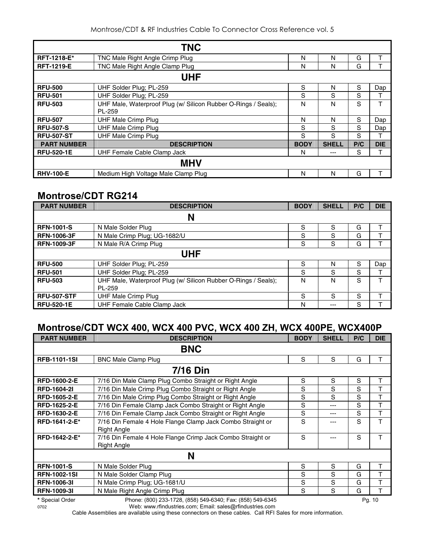|                    | <b>TNC</b>                                                     |             |              |     |            |
|--------------------|----------------------------------------------------------------|-------------|--------------|-----|------------|
| <b>RFT-1218-E*</b> | TNC Male Right Angle Crimp Plug                                | N           | N            | G   | т          |
| <b>RFT-1219-E</b>  | TNC Male Right Angle Clamp Plug                                | N           | N            | G   | т          |
|                    | UHF                                                            |             |              |     |            |
| <b>RFU-500</b>     | UHF Solder Plug; PL-259                                        | S           | N            | S   | Dap        |
| <b>RFU-501</b>     | UHF Solder Plug; PL-259                                        | S           | S            | S   |            |
| <b>RFU-503</b>     | UHF Male, Waterproof Plug (w/ Silicon Rubber O-Rings / Seals); | N           | N            | S   | т          |
|                    | PL-259                                                         |             |              |     |            |
| <b>RFU-507</b>     | UHF Male Crimp Plug                                            | N           | N            | S   | Dap        |
| <b>RFU-507-S</b>   | <b>UHF Male Crimp Plug</b>                                     | S           | S            | S   | Dap        |
| <b>RFU-507-ST</b>  | <b>UHF Male Crimp Plug</b>                                     | S           | S            | S   | т          |
| <b>PART NUMBER</b> | <b>DESCRIPTION</b>                                             | <b>BODY</b> | <b>SHELL</b> | P/C | <b>DIE</b> |
| <b>RFU-520-1E</b>  | UHF Female Cable Clamp Jack                                    | N           | ---          | S   | т          |
|                    | <b>MHV</b>                                                     |             |              |     |            |
| <b>RHV-100-E</b>   | Medium High Voltage Male Clamp Plug                            | N           | N            | G   |            |

#### **Montrose/CDT RG214**

| <b>PART NUMBER</b> | <b>DESCRIPTION</b>                                             | <b>BODY</b> | <b>SHELL</b> | P/C | <b>DIE</b> |  |  |  |
|--------------------|----------------------------------------------------------------|-------------|--------------|-----|------------|--|--|--|
|                    | N                                                              |             |              |     |            |  |  |  |
| <b>RFN-1001-S</b>  | N Male Solder Plug                                             | S           | S            | G   | т          |  |  |  |
| <b>RFN-1006-3F</b> | N Male Crimp Plug; UG-1682/U                                   | S           | S            | G   |            |  |  |  |
| <b>RFN-1009-3F</b> | N Male R/A Crimp Plug                                          | S           | S            | G   |            |  |  |  |
|                    | UHF                                                            |             |              |     |            |  |  |  |
| <b>RFU-500</b>     | UHF Solder Plug; PL-259                                        | S           | N            | S   | Dap        |  |  |  |
| <b>RFU-501</b>     | UHF Solder Plug; PL-259                                        | S           | S            | S   |            |  |  |  |
| <b>RFU-503</b>     | UHF Male, Waterproof Plug (w/ Silicon Rubber O-Rings / Seals); | N           | N            | S   | т          |  |  |  |
|                    | PL-259                                                         |             |              |     |            |  |  |  |
| <b>RFU-507-STF</b> | <b>UHF Male Crimp Plug</b>                                     | S           | S            | S   |            |  |  |  |
| <b>RFU-520-1E</b>  | UHF Female Cable Clamp Jack                                    | N           | ---          | S   |            |  |  |  |

#### **Montrose/CDT WCX 400, WCX 400 PVC, WCX 400 ZH, WCX 400PE, WCX400P**

| <b>PART NUMBER</b>  | <b>DESCRIPTION</b>                                                               | <b>BODY</b> | <b>SHELL</b> | P/C | <b>DIE</b> |
|---------------------|----------------------------------------------------------------------------------|-------------|--------------|-----|------------|
|                     | <b>BNC</b>                                                                       |             |              |     |            |
| <b>RFB-1101-1SI</b> | <b>BNC Male Clamp Plug</b>                                                       | S           | S            | G   | т          |
|                     | <b>7/16 Din</b>                                                                  |             |              |     |            |
| <b>RFD-1600-2-E</b> | 7/16 Din Male Clamp Plug Combo Straight or Right Angle                           | S           | S            | S   | т          |
| <b>RFD-1604-21</b>  | 7/16 Din Male Crimp Plug Combo Straight or Right Angle                           | S           | S            | S   | т          |
| RFD-1605-2-E        | 7/16 Din Male Crimp Plug Combo Straight or Right Angle                           | S           | S            | S   | т          |
| <b>RFD-1625-2-E</b> | 7/16 Din Female Clamp Jack Combo Straight or Right Angle                         | S           | ---          | S   | т          |
| RFD-1630-2-E        | 7/16 Din Female Clamp Jack Combo Straight or Right Angle                         | S           | ---          | S   | т          |
| RFD-1641-2-E*       | 7/16 Din Female 4 Hole Flange Clamp Jack Combo Straight or<br>Right Angle        | S           | ---          | S   | T          |
| RFD-1642-2-E*       | 7/16 Din Female 4 Hole Flange Crimp Jack Combo Straight or<br><b>Right Angle</b> | S           | ---          | S   | т          |
|                     | N                                                                                |             |              |     |            |
| <b>RFN-1001-S</b>   | N Male Solder Plug                                                               | S           | S            | G   | т          |
| <b>RFN-1002-1SI</b> | N Male Solder Clamp Plug                                                         | S           | S            | G   | T          |
| <b>RFN-1006-31</b>  | N Male Crimp Plug; UG-1681/U                                                     | S           | S            | G   | т          |
| <b>RFN-1009-31</b>  | N Male Right Angle Crimp Plug                                                    | S           | S            | G   | т          |
| * Special Order     | Phone: (800) 233-1728, (858) 549-6340; Fax: (858) 549-6345                       |             |              |     | Pg. 10     |

0702 Web: www.rfindustries.com; Email: sales@rfindustries.com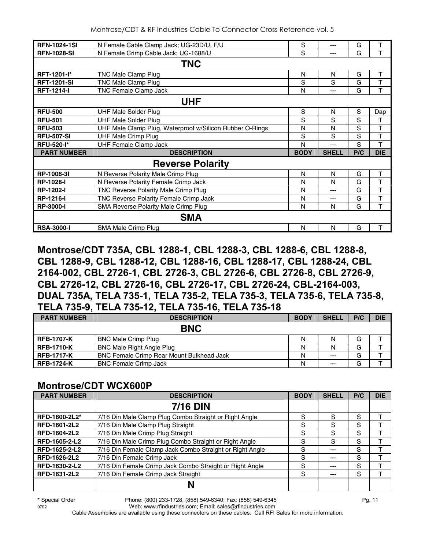| <b>RFN-1024-1SI</b> | N Female Cable Clamp Jack; UG-23D/U, F/U                 | S           | ---          | G   | т          |  |  |  |  |
|---------------------|----------------------------------------------------------|-------------|--------------|-----|------------|--|--|--|--|
| <b>RFN-1028-SI</b>  | N Female Crimp Cable Jack; UG-1688/U                     | S           | $---$        | G   | T          |  |  |  |  |
| <b>TNC</b>          |                                                          |             |              |     |            |  |  |  |  |
| RFT-1201-I*         | TNC Male Clamp Plug                                      | N           | N            | G   | T          |  |  |  |  |
| <b>RFT-1201-SI</b>  | TNC Male Clamp Plug                                      | S           | S            | G   | T          |  |  |  |  |
| <b>RFT-1214-I</b>   | <b>TNC Female Clamp Jack</b>                             | N           | $---$        | G   | T          |  |  |  |  |
| <b>UHF</b>          |                                                          |             |              |     |            |  |  |  |  |
| <b>RFU-500</b>      | <b>UHF Male Solder Plug</b>                              | S           | N            | S   | Dap        |  |  |  |  |
| <b>RFU-501</b>      | <b>UHF Male Solder Plug</b>                              | S           | S            | S   | т          |  |  |  |  |
| <b>RFU-503</b>      | UHF Male Clamp Plug, Waterproof w/Silicon Rubber O-Rings | N           | N            | S   | Τ          |  |  |  |  |
| <b>RFU-507-SI</b>   | <b>UHF Male Crimp Plug</b>                               | S           | S            | S   | T          |  |  |  |  |
| <b>RFU-520-I*</b>   | <b>UHF Female Clamp Jack</b>                             | N           | ---          | S   | T          |  |  |  |  |
| <b>PART NUMBER</b>  | <b>DESCRIPTION</b>                                       | <b>BODY</b> | <b>SHELL</b> | P/C | <b>DIE</b> |  |  |  |  |
|                     | <b>Reverse Polarity</b>                                  |             |              |     |            |  |  |  |  |
| RP-1006-3I          | N Reverse Polarity Male Crimp Plug                       | N           | N            | G   | T          |  |  |  |  |
| <b>RP-1028-I</b>    | N Reverse Polarity Female Crimp Jack                     | N           | N            | G   | T          |  |  |  |  |
| <b>RP-1202-I</b>    | TNC Reverse Polarity Male Crimp Plug                     | N           | ---          | G   | T          |  |  |  |  |
| <b>RP-1216-I</b>    | TNC Reverse Polarity Female Crimp Jack                   | N           | ---          | G   | T          |  |  |  |  |
| <b>RP-3000-I</b>    | SMA Reverse Polarity Male Crimp Plug                     | N           | N            | G   | T          |  |  |  |  |
|                     | <b>SMA</b>                                               |             |              |     |            |  |  |  |  |
| <b>RSA-3000-I</b>   | SMA Male Crimp Plug                                      | N           | N            | G   | T          |  |  |  |  |

**Montrose/CDT 735A, CBL 1288-1, CBL 1288-3, CBL 1288-6, CBL 1288-8, CBL 1288-9, CBL 1288-12, CBL 1288-16, CBL 1288-17, CBL 1288-24, CBL 2164-002, CBL 2726-1, CBL 2726-3, CBL 2726-6, CBL 2726-8, CBL 2726-9, CBL 2726-12, CBL 2726-16, CBL 2726-17, CBL 2726-24, CBL-2164-003, DUAL 735A, TELA 735-1, TELA 735-2, TELA 735-3, TELA 735-6, TELA 735-8, TELA 735-9, TELA 735-12, TELA 735-16, TELA 735-18** 

| <b>PART NUMBER</b> | <b>DESCRIPTION</b>                               | <b>BODY</b> | <b>SHELL</b> | P/C | <b>DIE</b> |
|--------------------|--------------------------------------------------|-------------|--------------|-----|------------|
|                    | <b>BNC</b>                                       |             |              |     |            |
| <b>RFB-1707-K</b>  | <b>BNC Male Crimp Plug</b>                       | N           | N            | G   |            |
| <b>RFB-1710-K</b>  | <b>BNC Male Right Angle Plug</b>                 | N           | N            | G   |            |
| <b>RFB-1717-K</b>  | <b>BNC Female Crimp Rear Mount Bulkhead Jack</b> | N           | $---$        | G   |            |
| <b>RFB-1724-K</b>  | <b>BNC Female Crimp Jack</b>                     | N           | $---$        | G   |            |

## **Montrose/CDT WCX600P**

| <b>PART NUMBER</b> | <b>DESCRIPTION</b>                                       | <b>BODY</b> | <b>SHELL</b> | P/C | <b>DIE</b> |
|--------------------|----------------------------------------------------------|-------------|--------------|-----|------------|
|                    | <b>7/16 DIN</b>                                          |             |              |     |            |
| RFD-1600-2L2*      | 7/16 Din Male Clamp Plug Combo Straight or Right Angle   | S           | S            | S   |            |
| RFD-1601-2L2       | 7/16 Din Male Clamp Plug Straight                        | S           | S            | S   |            |
| RFD-1604-2L2       | 7/16 Din Male Crimp Plug Straight                        | S           | S            | S   |            |
| RFD-1605-2-L2      | 7/16 Din Male Crimp Plug Combo Straight or Right Angle   | S           | S            | S   |            |
| RFD-1625-2-L2      | 7/16 Din Female Clamp Jack Combo Straight or Right Angle | S           | ---          | S   |            |
| RFD-1626-2L2       | 7/16 Din Female Crimp Jack                               | S           | ---          | S   |            |
| RFD-1630-2-L2      | 7/16 Din Female Crimp Jack Combo Straight or Right Angle | S.          | ---          | S   |            |
| RFD-1631-2L2       | 7/16 Din Female Crimp Jack Straight                      | S           | ---          | S   |            |
|                    |                                                          |             |              |     |            |

**\*** Special Order Phone: (800) 233-1728, (858) 549-6340; Fax: (858) 549-6345 Pg. 11

0702 Web: www.rfindustries.com; Email: sales@rfindustries.com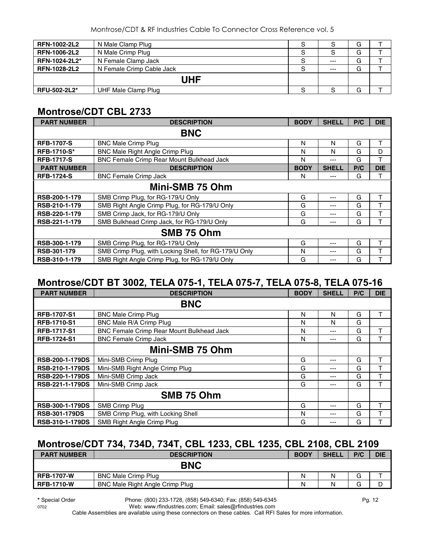| <b>RFN-1002-2L2</b> | N Male Clamp Plug         | S |       | G |  |
|---------------------|---------------------------|---|-------|---|--|
| <b>RFN-1006-2L2</b> | N Male Crimp Plug         | S |       | G |  |
| RFN-1024-2L2*       | N Female Clamp Jack       |   | $---$ | G |  |
| <b>RFN-1028-2L2</b> | N Female Crimp Cable Jack |   | $--$  | G |  |
|                     | UHF                       |   |       |   |  |
| RFU-502-2L2*        | UHF Male Clamp Plug       |   |       | G |  |

### **Montrose/CDT CBL 2733**

| <b>PART NUMBER</b> | <b>DESCRIPTION</b>                                    | <b>BODY</b> | <b>SHELL</b> | P/C | <b>DIE</b> |  |  |
|--------------------|-------------------------------------------------------|-------------|--------------|-----|------------|--|--|
|                    | <b>BNC</b>                                            |             |              |     |            |  |  |
| <b>RFB-1707-S</b>  | <b>BNC Male Crimp Plug</b>                            | N           | N            | G   | т          |  |  |
| <b>RFB-1710-S*</b> | <b>BNC Male Right Angle Crimp Plug</b>                | N           | N            | G   | D          |  |  |
| <b>RFB-1717-S</b>  | BNC Female Crimp Rear Mount Bulkhead Jack             | N           | ---          | G   | т          |  |  |
| <b>PART NUMBER</b> | <b>DESCRIPTION</b>                                    | <b>BODY</b> | <b>SHELL</b> | P/C | <b>DIE</b> |  |  |
| <b>RFB-1724-S</b>  | <b>BNC Female Crimp Jack</b>                          | N           | $---$        | G   | т          |  |  |
| Mini-SMB 75 Ohm    |                                                       |             |              |     |            |  |  |
| RSB-200-1-179      | SMB Crimp Plug, for RG-179/U Only                     | G           | $--$         | G   | т          |  |  |
| RSB-210-1-179      | SMB Right Angle Crimp Plug, for RG-179/U Only         | G           | ---          | G   | т          |  |  |
| RSB-220-1-179      | SMB Crimp Jack, for RG-179/U Only                     | G           | ---          | G   | т          |  |  |
| RSB-221-1-179      | SMB Bulkhead Crimp Jack, for RG-179/U Only            | G           | ---          | G   | т          |  |  |
|                    | SMB 75 Ohm                                            |             |              |     |            |  |  |
| RSB-300-1-179      | SMB Crimp Plug, for RG-179/U Only                     | G           | ---          | G   | т          |  |  |
| RSB-301-179        | SMB Crimp Plug, with Locking Shell, for RG-179/U Only | N           | ---          | G   |            |  |  |
| RSB-310-1-179      | SMB Right Angle Crimp Plug, for RG-179/U Only         | G           | ---          | G   |            |  |  |

#### **Montrose/CDT BT 3002, TELA 075-1, TELA 075-7, TELA 075-8, TELA 075-16**

| <b>PART NUMBER</b>     | <b>DESCRIPTION</b>                        | <b>BODY</b> | <b>SHELL</b> | P/C | <b>DIE</b> |
|------------------------|-------------------------------------------|-------------|--------------|-----|------------|
|                        | <b>BNC</b>                                |             |              |     |            |
| <b>RFB-1707-S1</b>     | <b>BNC Male Crimp Plug</b>                | N           | N            | G   |            |
| <b>RFB-1710-S1</b>     | BNC Male R/A Crimp Plug                   | N           | N            | G   |            |
| <b>RFB-1717-S1</b>     | BNC Female Crimp Rear Mount Bulkhead Jack | N           | ---          | G   | т          |
| <b>RFB-1724-S1</b>     | <b>BNC Female Crimp Jack</b>              | N           | ---          | G   | т          |
|                        | Mini-SMB 75 Ohm                           |             |              |     |            |
| <b>RSB-200-1-179DS</b> | Mini-SMB Crimp Plug                       | G           | ---          | G   |            |
| <b>RSB-210-1-179DS</b> | Mini-SMB Right Angle Crimp Plug           | G           | ---          | G   | ᠇          |
| <b>RSB-220-1-179DS</b> | Mini-SMB Crimp Jack                       | G           | ---          | G   |            |
| RSB-221-1-179DS        | Mini-SMB Crimp Jack                       | G           | ---          | G   |            |
|                        | SMB 75 Ohm                                |             |              |     |            |
| <b>RSB-300-1-179DS</b> | SMB Crimp Plug                            | G           | ---          | G   | т          |
| <b>RSB-301-179DS</b>   | SMB Crimp Plug, with Locking Shell        | N           | ---          | G   |            |
| <b>RSB-310-1-179DS</b> | SMB Right Angle Crimp Plug                | G           | --           | G   |            |

## **Montrose/CDT 734, 734D, 734T, CBL 1233, CBL 1235, CBL 2108, CBL 2109**

| <b>PART NUMBER</b> | <b>DESCRIPTION</b>              | <b>BODY</b> | <b>SHELL</b> | P/C | <b>DIE</b> |  |
|--------------------|---------------------------------|-------------|--------------|-----|------------|--|
| <b>BNC</b>         |                                 |             |              |     |            |  |
| <b>RFB-1707-W</b>  | <b>BNC Male Crimp Plug</b>      | N           | N            | G   |            |  |
| <b>RFB-1710-W</b>  | BNC Male Right Angle Crimp Plug | N           | N            | G   | ப          |  |

**\*** Special Order Phone: (800) 233-1728, (858) 549-6340; Fax: (858) 549-6345 Pg. 12

0702 Web: www.rfindustries.com; Email: sales@rfindustries.com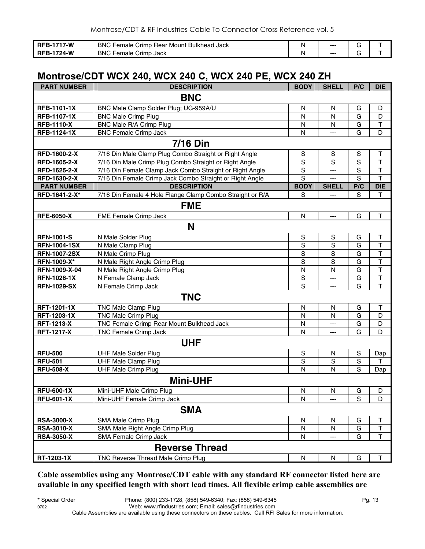| 7-W<br>RFB-<br>---- | <b>BNC F</b><br><b>Bulkhead</b><br>-<br>' Jack<br>Female<br>Mount<br>Crimp <sup>1</sup><br>. Hear | N | --- |  |
|---------------------|---------------------------------------------------------------------------------------------------|---|-----|--|
| 24-W<br>הי<br>RFB-1 | <b>BNC F</b><br>-<br>Crimp Jack<br>Female                                                         | N | --- |  |

#### **Montrose/CDT WCX 240, WCX 240 C, WCX 240 PE, WCX 240 ZH**

| <b>PART NUMBER</b>    | <b>DESCRIPTION</b>                                        | <b>BODY</b>  | <b>SHELL</b>   | P/C         | <b>DIE</b>              |  |  |
|-----------------------|-----------------------------------------------------------|--------------|----------------|-------------|-------------------------|--|--|
| <b>BNC</b>            |                                                           |              |                |             |                         |  |  |
| <b>RFB-1101-1X</b>    | BNC Male Clamp Solder Plug; UG-959A/U                     | ${\sf N}$    | $\mathsf{N}$   | G           | D                       |  |  |
| <b>RFB-1107-1X</b>    | <b>BNC Male Crimp Plug</b>                                | N            | N              | G           | D                       |  |  |
| <b>RFB-1110-X</b>     | BNC Male R/A Crimp Plug                                   | $\mathsf{N}$ | N              | G           | T                       |  |  |
| <b>RFB-1124-1X</b>    | <b>BNC Female Crimp Jack</b>                              | N            | ---            | G           | D                       |  |  |
|                       | <b>7/16 Din</b>                                           |              |                |             |                         |  |  |
| RFD-1600-2-X          | 7/16 Din Male Clamp Plug Combo Straight or Right Angle    | S            | S              | $\mathsf S$ | Т                       |  |  |
| RFD-1605-2-X          | 7/16 Din Male Crimp Plug Combo Straight or Right Angle    | $\mathbf S$  | S              | S           | T                       |  |  |
| RFD-1625-2-X          | 7/16 Din Female Clamp Jack Combo Straight or Right Angle  | $\mathbf S$  | ---            | S           | T                       |  |  |
| RFD-1630-2-X          | 7/16 Din Female Crimp Jack Combo Straight or Right Angle  | S            |                | S           | $\overline{\mathsf{T}}$ |  |  |
| <b>PART NUMBER</b>    | <b>DESCRIPTION</b>                                        | <b>BODY</b>  | <b>SHELL</b>   | P/C         | <b>DIE</b>              |  |  |
| RFD-1641-2-X*         | 7/16 Din Female 4 Hole Flange Clamp Combo Straight or R/A | S            | ---            | S           | T                       |  |  |
|                       | <b>FME</b>                                                |              |                |             |                         |  |  |
| <b>RFE-6050-X</b>     | FME Female Crimp Jack                                     | N            | ---            | G           | $\mathsf T$             |  |  |
|                       | N                                                         |              |                |             |                         |  |  |
| <b>RFN-1001-S</b>     | N Male Solder Plug                                        | S            | $\mathbb S$    | G           | Т                       |  |  |
| <b>RFN-1004-1SX</b>   | N Male Clamp Plug                                         | S            | $\overline{s}$ | G           | $\overline{\mathsf{T}}$ |  |  |
| <b>RFN-1007-2SX</b>   | N Male Crimp Plug                                         | $\mathbf S$  | $\mathbf S$    | G           | T                       |  |  |
| RFN-1009-X*           | N Male Right Angle Crimp Plug                             | $\mathbf S$  | S              | G           | T                       |  |  |
| RFN-1009-X-04         | N Male Right Angle Crimp Plug                             | N            | N              | G           | T                       |  |  |
| <b>RFN-1026-1X</b>    | N Female Clamp Jack                                       | S            | ---            | G           | $\top$                  |  |  |
| <b>RFN-1029-SX</b>    | N Female Crimp Jack                                       | S            | ---            | G           | T                       |  |  |
|                       | <b>TNC</b>                                                |              |                |             |                         |  |  |
| RFT-1201-1X           | <b>TNC Male Clamp Plug</b>                                | $\mathsf{N}$ | $\mathsf{N}$   | G           | T                       |  |  |
| RFT-1203-1X           | <b>TNC Male Crimp Plug</b>                                | $\mathsf{N}$ | N              | G           | D                       |  |  |
| <b>RFT-1213-X</b>     | TNC Female Crimp Rear Mount Bulkhead Jack                 | N            | ---            | G           | D                       |  |  |
| <b>RFT-1217-X</b>     | TNC Female Crimp Jack                                     | N            | ---            | G           | D                       |  |  |
| <b>UHF</b>            |                                                           |              |                |             |                         |  |  |
| <b>RFU-500</b>        | <b>UHF Male Solder Plug</b>                               | $\mathbf S$  | N              | $\mathbf S$ | Dap                     |  |  |
| <b>RFU-501</b>        | <b>UHF Male Clamp Plug</b>                                | $\mathbf S$  | S              | $\mathbf S$ | T                       |  |  |
| <b>RFU-508-X</b>      | <b>UHF Male Crimp Plug</b>                                | $\mathsf{N}$ | N              | S           | Dap                     |  |  |
| <b>Mini-UHF</b>       |                                                           |              |                |             |                         |  |  |
| <b>RFU-600-1X</b>     | Mini-UHF Male Crimp Plug                                  | ${\sf N}$    | ${\sf N}$      | G           | D                       |  |  |
| <b>RFU-601-1X</b>     | Mini-UHF Female Crimp Jack                                | N            |                | S           | D                       |  |  |
| <b>SMA</b>            |                                                           |              |                |             |                         |  |  |
| <b>RSA-3000-X</b>     | SMA Male Crimp Plug                                       | N            | N              | G           | Τ                       |  |  |
| <b>RSA-3010-X</b>     | SMA Male Right Angle Crimp Plug                           | N            | N              | G           | T                       |  |  |
| <b>RSA-3050-X</b>     | <b>SMA Female Crimp Jack</b>                              | N            | ---            | G           | т                       |  |  |
| <b>Reverse Thread</b> |                                                           |              |                |             |                         |  |  |
| RT-1203-1X            | TNC Reverse Thread Male Crimp Plug                        | ${\sf N}$    | N              | G           | т                       |  |  |

**Cable assemblies using any Montrose/CDT cable with any standard RF connector listed here are available in any specified length with short lead times. All flexible crimp cable assemblies are**